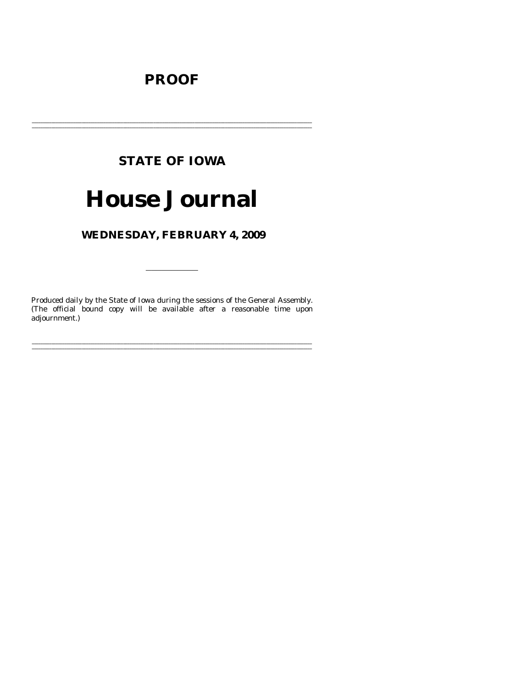# **PROOF**

# **STATE OF IOWA**

# **House Journal**

# WEDNESDAY, FEBRUARY 4, 2009

Produced daily by the State of Iowa during the sessions of the General Assembly. (The official bound copy will be available after a reasonable time upon adjournment.)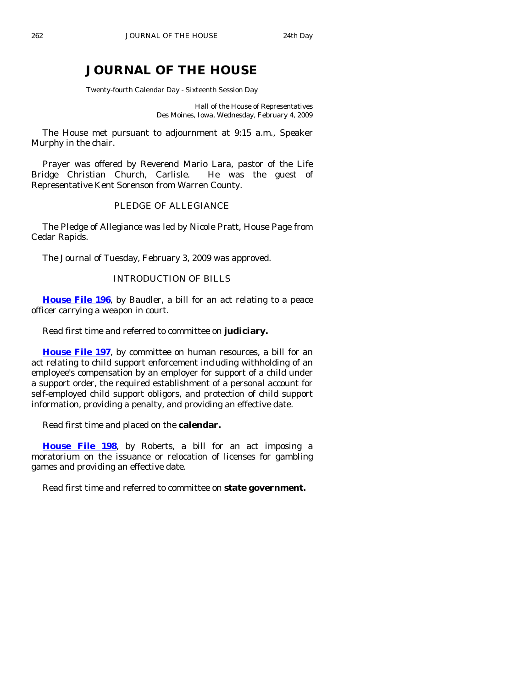# **JOURNAL OF THE HOUSE**

Twenty-fourth Calendar Day - Sixteenth Session Day

Hall of the House of Representatives Des Moines, Iowa, Wednesday, February 4, 2009

 The House met pursuant to adjournment at 9:15 a.m., Speaker Murphy in the chair.

 Prayer was offered by Reverend Mario Lara, pastor of the Life Bridge Christian Church, Carlisle. He was the guest of Representative Kent Sorenson from Warren County.

# PLEDGE OF ALLEGIANCE

 The Pledge of Allegiance was led by Nicole Pratt, House Page from Cedar Rapids.

The Journal of Tuesday, February 3, 2009 was approved.

# INTRODUCTION OF BILLS

**[House File 196](http://coolice.legis.state.ia.us/Cool-ICE/default.asp?Category=billinfo&Service=Billbook&frame=1&GA=83&hbill=HF196)**, by Baudler, a bill for an act relating to a peace officer carrying a weapon in court.

Read first time and referred to committee on **judiciary.** 

**[House File 197](http://coolice.legis.state.ia.us/Cool-ICE/default.asp?Category=billinfo&Service=Billbook&frame=1&GA=83&hbill=HF197)**, by committee on human resources, a bill for an act relating to child support enforcement including withholding of an employee's compensation by an employer for support of a child under a support order, the required establishment of a personal account for self-employed child support obligors, and protection of child support information, providing a penalty, and providing an effective date.

Read first time and placed on the **calendar.** 

**[House File 198](http://coolice.legis.state.ia.us/Cool-ICE/default.asp?Category=billinfo&Service=Billbook&frame=1&GA=83&hbill=HF198)**, by Roberts, a bill for an act imposing a moratorium on the issuance or relocation of licenses for gambling games and providing an effective date.

Read first time and referred to committee on **state government.**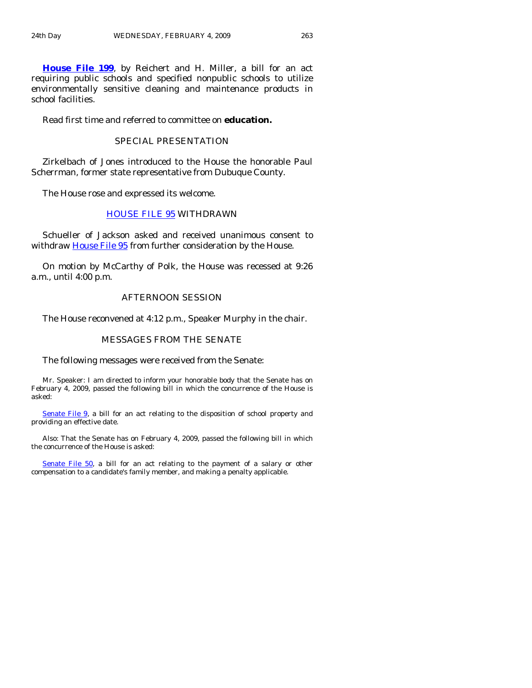**[House File 199](http://coolice.legis.state.ia.us/Cool-ICE/default.asp?Category=billinfo&Service=Billbook&frame=1&GA=83&hbill=HF199)**, by Reichert and H. Miller, a bill for an act requiring public schools and specified nonpublic schools to utilize environmentally sensitive cleaning and maintenance products in school facilities.

Read first time and referred to committee on **education.** 

# SPECIAL PRESENTATION

 Zirkelbach of Jones introduced to the House the honorable Paul Scherrman, former state representative from Dubuque County.

The House rose and expressed its welcome.

# [HOUSE FILE 95](http://coolice.legis.state.ia.us/Cool-ICE/default.asp?Category=billinfo&Service=Billbook&frame=1&GA=83&hbill=HF95) WITHDRAWN

 Schueller of Jackson asked and received unanimous consent to withdraw [House File 95](http://coolice.legis.state.ia.us/Cool-ICE/default.asp?Category=billinfo&Service=Billbook&frame=1&GA=83&hbill=HF95) from further consideration by the House.

 On motion by McCarthy of Polk, the House was recessed at 9:26 a.m., until 4:00 p.m.

#### AFTERNOON SESSION

The House reconvened at 4:12 p.m., Speaker Murphy in the chair.

#### MESSAGES FROM THE SENATE

The following messages were received from the Senate:

 Mr. Speaker: I am directed to inform your honorable body that the Senate has on February 4, 2009, passed the following bill in which the concurrence of the House is asked:

[Senate File 9,](http://coolice.legis.state.ia.us/Cool-ICE/default.asp?Category=billinfo&Service=Billbook&frame=1&GA=83&hbill=SF9) a bill for an act relating to the disposition of school property and providing an effective date.

 Also: That the Senate has on February 4, 2009, passed the following bill in which the concurrence of the House is asked:

[Senate File 50,](http://coolice.legis.state.ia.us/Cool-ICE/default.asp?Category=billinfo&Service=Billbook&frame=1&GA=83&hbill=SF50) a bill for an act relating to the payment of a salary or other compensation to a candidate's family member, and making a penalty applicable.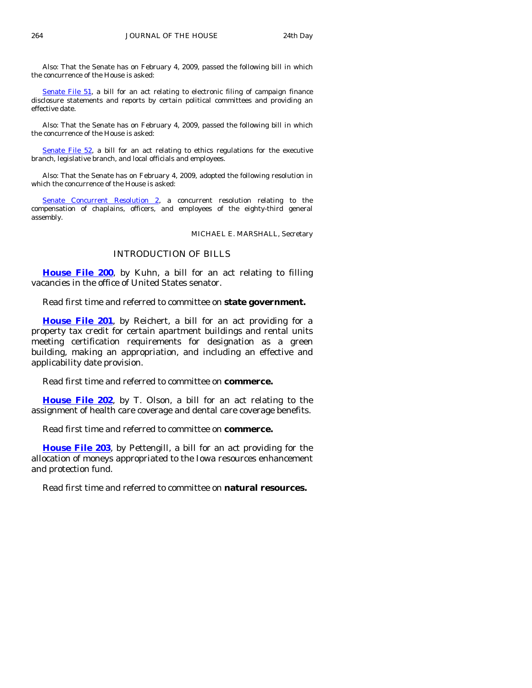Also: That the Senate has on February 4, 2009, passed the following bill in which the concurrence of the House is asked:

[Senate File 51](http://coolice.legis.state.ia.us/Cool-ICE/default.asp?Category=billinfo&Service=Billbook&frame=1&GA=83&hbill=SF51), a bill for an act relating to electronic filing of campaign finance disclosure statements and reports by certain political committees and providing an effective date.

 Also: That the Senate has on February 4, 2009, passed the following bill in which the concurrence of the House is asked:

[Senate File 52,](http://coolice.legis.state.ia.us/Cool-ICE/default.asp?Category=billinfo&Service=Billbook&frame=1&GA=83&hbill=SF52) a bill for an act relating to ethics regulations for the executive branch, legislative branch, and local officials and employees.

 Also: That the Senate has on February 4, 2009, adopted the following resolution in which the concurrence of the House is asked:

[Senate Concurrent Resolution 2,](http://coolice.legis.state.ia.us/Cool-ICE/default.asp?Category=billinfo&Service=Billbook&frame=1&GA=83&hbill=SCR2) a concurrent resolution relating to the compensation of chaplains, officers, and employees of the eighty-third general assembly.

MICHAEL E. MARSHALL, Secretary

## INTRODUCTION OF BILLS

**[House File 200](http://coolice.legis.state.ia.us/Cool-ICE/default.asp?Category=billinfo&Service=Billbook&frame=1&GA=83&hbill=HF200)**, by Kuhn, a bill for an act relating to filling vacancies in the office of United States senator.

Read first time and referred to committee on **state government.** 

**[House File 201](http://coolice.legis.state.ia.us/Cool-ICE/default.asp?Category=billinfo&Service=Billbook&frame=1&GA=83&hbill=HF201)**, by Reichert, a bill for an act providing for a property tax credit for certain apartment buildings and rental units meeting certification requirements for designation as a green building, making an appropriation, and including an effective and applicability date provision.

Read first time and referred to committee on **commerce.** 

**[House File 202](http://coolice.legis.state.ia.us/Cool-ICE/default.asp?Category=billinfo&Service=Billbook&frame=1&GA=83&hbill=HF202)**, by T. Olson, a bill for an act relating to the assignment of health care coverage and dental care coverage benefits.

Read first time and referred to committee on **commerce.** 

**[House File 203](http://coolice.legis.state.ia.us/Cool-ICE/default.asp?Category=billinfo&Service=Billbook&frame=1&GA=83&hbill=HF203)**, by Pettengill, a bill for an act providing for the allocation of moneys appropriated to the Iowa resources enhancement and protection fund.

Read first time and referred to committee on **natural resources.**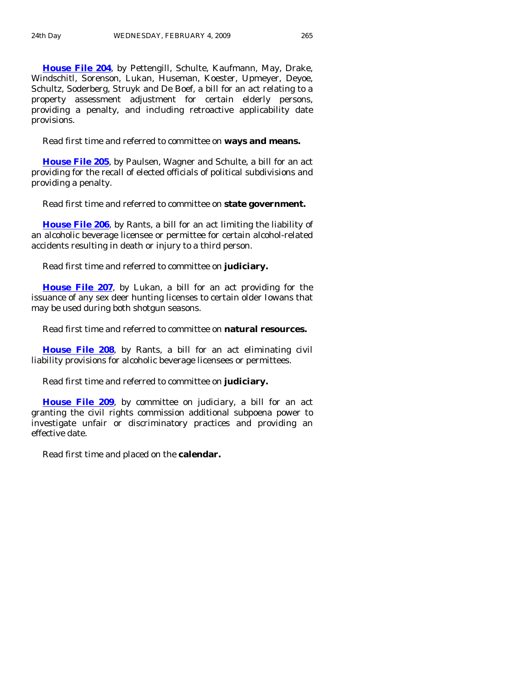**[House File 204](http://coolice.legis.state.ia.us/Cool-ICE/default.asp?Category=billinfo&Service=Billbook&frame=1&GA=83&hbill=HF204)**, by Pettengill, Schulte, Kaufmann, May, Drake, Windschitl, Sorenson, Lukan, Huseman, Koester, Upmeyer, Deyoe, Schultz, Soderberg, Struyk and De Boef, a bill for an act relating to a property assessment adjustment for certain elderly persons, providing a penalty, and including retroactive applicability date provisions.

Read first time and referred to committee on **ways and means.** 

**[House File 205](http://coolice.legis.state.ia.us/Cool-ICE/default.asp?Category=billinfo&Service=Billbook&frame=1&GA=83&hbill=HF205)**, by Paulsen, Wagner and Schulte, a bill for an act providing for the recall of elected officials of political subdivisions and providing a penalty.

Read first time and referred to committee on **state government.** 

**[House File 206](http://coolice.legis.state.ia.us/Cool-ICE/default.asp?Category=billinfo&Service=Billbook&frame=1&GA=83&hbill=HF206)**, by Rants, a bill for an act limiting the liability of an alcoholic beverage licensee or permittee for certain alcohol-related accidents resulting in death or injury to a third person.

Read first time and referred to committee on **judiciary.** 

**[House File 207](http://coolice.legis.state.ia.us/Cool-ICE/default.asp?Category=billinfo&Service=Billbook&frame=1&GA=83&hbill=HF207)**, by Lukan, a bill for an act providing for the issuance of any sex deer hunting licenses to certain older Iowans that may be used during both shotgun seasons.

Read first time and referred to committee on **natural resources.** 

**[House File 208](http://coolice.legis.state.ia.us/Cool-ICE/default.asp?Category=billinfo&Service=Billbook&frame=1&GA=83&hbill=HF208)**, by Rants, a bill for an act eliminating civil liability provisions for alcoholic beverage licensees or permittees.

Read first time and referred to committee on **judiciary.** 

**[House File 209](http://coolice.legis.state.ia.us/Cool-ICE/default.asp?Category=billinfo&Service=Billbook&frame=1&GA=83&hbill=HF209)**, by committee on judiciary, a bill for an act granting the civil rights commission additional subpoena power to investigate unfair or discriminatory practices and providing an effective date.

Read first time and placed on the **calendar.**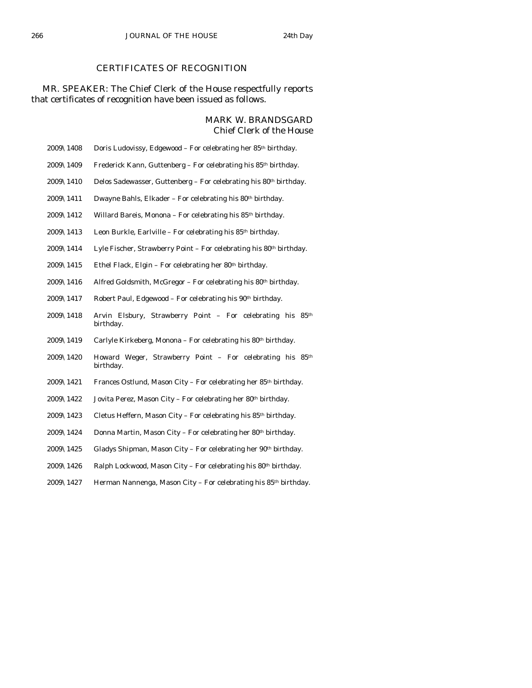# CERTIFICATES OF RECOGNITION

# MR. SPEAKER: The Chief Clerk of the House respectfully reports that certificates of recognition have been issued as follows.

## MARK W. BRANDSGARD Chief Clerk of the House

- 2009\1408 Doris Ludovissy, Edgewood For celebrating her 85th birthday.
- 2009\1409 Frederick Kann, Guttenberg For celebrating his 85th birthday.
- 2009\1410 Delos Sadewasser, Guttenberg For celebrating his  $80<sup>th</sup>$  birthday.
- $2009\backslash1411$  Dwayne Bahls, Elkader For celebrating his 80<sup>th</sup> birthday.
- 2009\1412 Willard Bareis, Monona For celebrating his 85th birthday.
- 2009\1413 Leon Burkle, Earlville For celebrating his  $85<sup>th</sup>$  birthday.
- 2009\1414 Lyle Fischer, Strawberry Point For celebrating his  $80<sup>th</sup>$  birthday.
- 2009\1415 Ethel Flack, Elgin For celebrating her 80<sup>th</sup> birthday.
- 2009\1416 Alfred Goldsmith, McGregor For celebrating his  $80<sup>th</sup>$  birthday.
- $2009\backslash1417$  Robert Paul, Edgewood For celebrating his  $90<sup>th</sup>$  birthday.
- 2009\1418 Arvin Elsbury, Strawberry Point For celebrating his 85th birthday.
- 2009\1419 Carlyle Kirkeberg, Monona For celebrating his 80th birthday.
- 2009\1420 Howard Weger, Strawberry Point For celebrating his 85th birthday.
- 2009\1421 Frances Ostlund, Mason City For celebrating her 85<sup>th</sup> birthday.
- 2009\1422 Jovita Perez, Mason City For celebrating her 80th birthday.
- 2009\1423 Cletus Heffern, Mason City For celebrating his  $85<sup>th</sup>$  birthday.
- 2009\1424 Donna Martin, Mason City For celebrating her 80th birthday.
- 2009\1425 Gladys Shipman, Mason City For celebrating her 90<sup>th</sup> birthday.
- 2009\1426 Ralph Lockwood, Mason City For celebrating his 80<sup>th</sup> birthday.
- 2009\1427 Herman Nannenga, Mason City For celebrating his 85th birthday.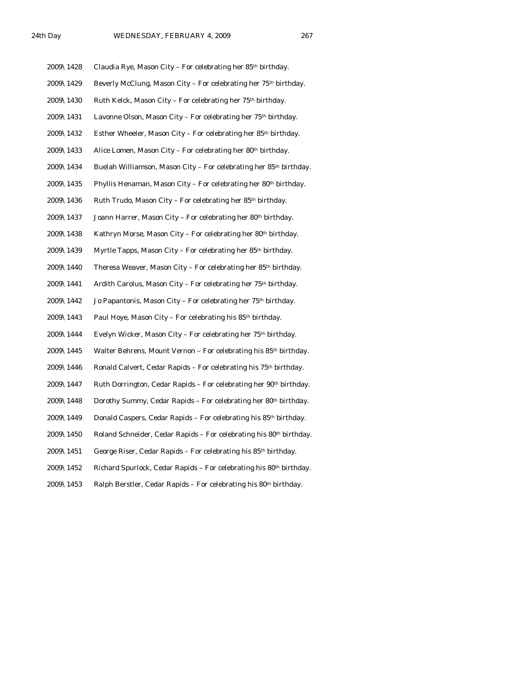| 2009\1428 | Claudia Rye, Mason City - For celebrating her 85th birthday.                   |
|-----------|--------------------------------------------------------------------------------|
| 2009\1429 | Beverly McClung, Mason City - For celebrating her 75th birthday.               |
| 2009\1430 | Ruth Kelck, Mason City - For celebrating her 75 <sup>th</sup> birthday.        |
| 2009\1431 | Lavonne Olson, Mason City - For celebrating her 75 <sup>th</sup> birthday.     |
| 2009\1432 | Esther Wheeler, Mason City – For celebrating her 85 <sup>th</sup> birthday.    |
| 2009\1433 | Alice Lomen, Mason City - For celebrating her 80th birthday.                   |
| 2009\1434 | Buelah Williamson, Mason City - For celebrating her 85 <sup>th</sup> birthday. |
| 2009\1435 | Phyllis Henaman, Mason City - For celebrating her 80th birthday.               |
| 2009\1436 | Ruth Trudo, Mason City - For celebrating her 85 <sup>th</sup> birthday.        |
| 2009\1437 | Joann Harrer, Mason City - For celebrating her 80th birthday.                  |
| 2009\1438 | Kathryn Morse, Mason City - For celebrating her 80th birthday.                 |
| 2009\1439 | Myrtle Tapps, Mason City - For celebrating her 85th birthday.                  |
| 2009\1440 | Theresa Weaver, Mason City - For celebrating her 85th birthday.                |
| 2009\1441 | Ardith Carolus, Mason City - For celebrating her 75 <sup>th</sup> birthday.    |
| 2009\1442 | Jo Papantonis, Mason City - For celebrating her 75 <sup>th</sup> birthday.     |
| 2009\1443 | Paul Hoye, Mason City – For celebrating his 85 <sup>th</sup> birthday.         |
| 2009\1444 | Evelyn Wicker, Mason City – For celebrating her 75 <sup>th</sup> birthday.     |
| 2009\1445 | Walter Behrens, Mount Vernon - For celebrating his 85 <sup>th</sup> birthday.  |
| 2009\1446 | Ronald Calvert, Cedar Rapids - For celebrating his 75th birthday.              |
| 2009\1447 | Ruth Dorrington, Cedar Rapids - For celebrating her 90th birthday.             |
| 2009\1448 | Dorothy Summy, Cedar Rapids - For celebrating her 80th birthday.               |
| 2009\1449 | Donald Caspers, Cedar Rapids - For celebrating his 85th birthday.              |
| 2009\1450 | Roland Schneider, Cedar Rapids - For celebrating his 80th birthday.            |

- 2009\1451 George Riser, Cedar Rapids For celebrating his  $85<sup>th</sup>$  birthday.
- 2009\1452 Richard Spurlock, Cedar Rapids For celebrating his 80<sup>th</sup> birthday.
- 2009\1453 Ralph Berstler, Cedar Rapids For celebrating his 80<sup>th</sup> birthday.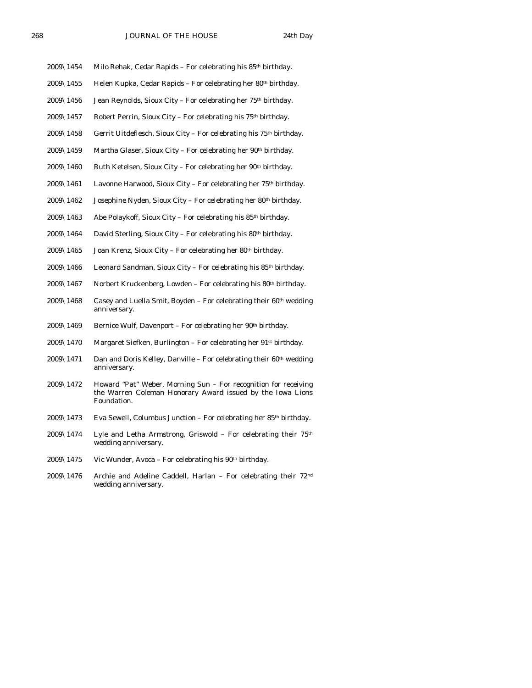- 2009\1454 Milo Rehak, Cedar Rapids For celebrating his  $85<sup>th</sup>$  birthday.
- 2009\1455 Helen Kupka, Cedar Rapids For celebrating her 80<sup>th</sup> birthday.
- 2009\1456 Jean Reynolds, Sioux City For celebrating her 75th birthday.
- 2009\1457 Robert Perrin, Sioux City For celebrating his  $75<sup>th</sup>$  birthday.
- 2009\1458 Gerrit Uitdeflesch, Sioux City For celebrating his  $75<sup>th</sup>$  birthday.
- 2009\1459 Martha Glaser, Sioux City For celebrating her 90<sup>th</sup> birthday.
- 2009\1460 Ruth Ketelsen, Sioux City For celebrating her  $90<sup>th</sup>$  birthday.
- 2009\1461 Lavonne Harwood, Sioux City For celebrating her 75th birthday.
- 2009\1462 Josephine Nyden, Sioux City For celebrating her 80th birthday.
- 2009\1463 Abe Polaykoff, Sioux City For celebrating his  $85<sup>th</sup>$  birthday.
- 2009\1464 David Sterling, Sioux City For celebrating his 80<sup>th</sup> birthday.
- 2009\1465 Joan Krenz, Sioux City For celebrating her 80<sup>th</sup> birthday.
- 2009\1466 Leonard Sandman, Sioux City For celebrating his 85<sup>th</sup> birthday.
- $2009\backslash1467$  Norbert Kruckenberg, Lowden For celebrating his 80<sup>th</sup> birthday.
- 2009\1468 Casey and Luella Smit, Boyden For celebrating their  $60<sup>th</sup>$  wedding anniversary.
- 2009\1469 Bernice Wulf, Davenport For celebrating her 90<sup>th</sup> birthday.
- 2009\1470 Margaret Siefken, Burlington For celebrating her 91st birthday.
- $2009\backslash1471$  Dan and Doris Kelley, Danville For celebrating their 60<sup>th</sup> wedding anniversary.
- 2009\1472 Howard "Pat" Weber, Morning Sun For recognition for receiving the Warren Coleman Honorary Award issued by the Iowa Lions Foundation.
- 2009\1473 Eva Sewell, Columbus Junction For celebrating her 85<sup>th</sup> birthday.
- 2009\1474 Lyle and Letha Armstrong, Griswold For celebrating their 75th wedding anniversary.
- 2009\1475 Vic Wunder, Avoca For celebrating his  $90<sup>th</sup>$  birthday.
- 2009\1476 Archie and Adeline Caddell, Harlan For celebrating their 72nd wedding anniversary.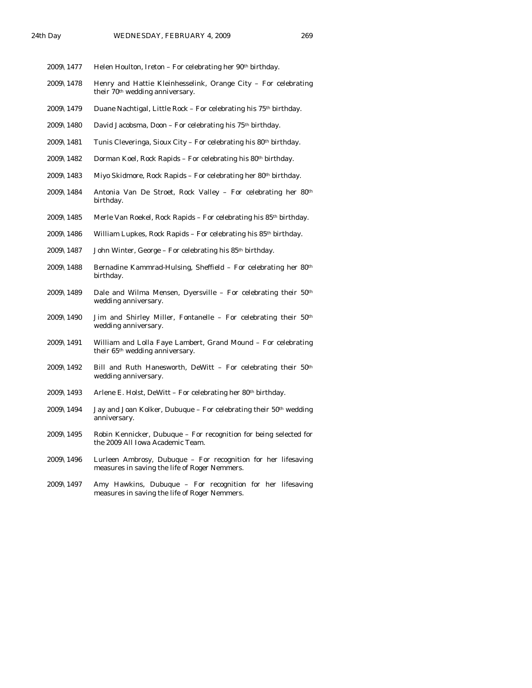- 2009 $\setminus$ 1477 Helen Houlton, Ireton For celebrating her 90<sup>th</sup> birthday.
- 2009\1478 Henry and Hattie Kleinhesselink, Orange City For celebrating their 70<sup>th</sup> wedding anniversary.
- 2009\1479 Duane Nachtigal, Little Rock For celebrating his 75th birthday.
- 2009\1480 David Jacobsma, Doon For celebrating his 75th birthday.
- 2009\1481 Tunis Cleveringa, Sioux City For celebrating his  $80<sup>th</sup>$  birthday.
- 2009\1482 Dorman Koel, Rock Rapids For celebrating his  $80<sup>th</sup>$  birthday.
- 2009\1483 Miyo Skidmore, Rock Rapids For celebrating her  $80<sup>th</sup>$  birthday.
- 2009\1484 Antonia Van De Stroet, Rock Valley For celebrating her 80th birthday.
- $2009\backslash1485$  Merle Van Roekel, Rock Rapids For celebrating his 85<sup>th</sup> birthday.
- 2009\1486 William Lupkes, Rock Rapids For celebrating his  $85<sup>th</sup>$  birthday.
- 2009\1487 John Winter, George For celebrating his 85th birthday.
- 2009\1488 Bernadine Kammrad-Hulsing, Sheffield For celebrating her 80th birthday.
- 2009\1489 Dale and Wilma Mensen, Dyersville For celebrating their  $50<sup>th</sup>$ wedding anniversary.
- 2009\1490 Jim and Shirley Miller, Fontanelle For celebrating their 50th wedding anniversary.
- 2009\1491 William and Lolla Faye Lambert, Grand Mound For celebrating their 65th wedding anniversary.
- 2009\1492 Bill and Ruth Hanesworth, DeWitt For celebrating their  $50<sup>th</sup>$ wedding anniversary.
- 2009\1493 Arlene E. Holst, DeWitt For celebrating her 80<sup>th</sup> birthday.
- $2009\backslash1494$  Jay and Joan Kolker, Dubuque For celebrating their 50<sup>th</sup> wedding anniversary.
- 2009\1495 Robin Kennicker, Dubuque For recognition for being selected for the 2009 All Iowa Academic Team.
- 2009\1496 Lurleen Ambrosy, Dubuque For recognition for her lifesaving measures in saving the life of Roger Nemmers.
- 2009\1497 Amy Hawkins, Dubuque For recognition for her lifesaving measures in saving the life of Roger Nemmers.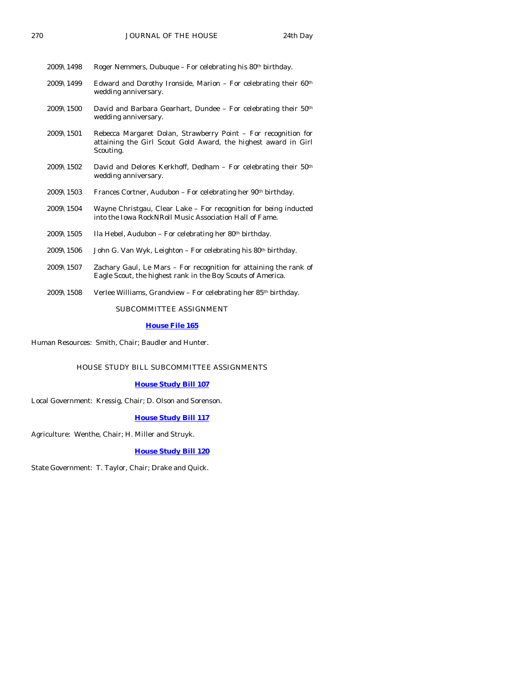| $2009\backslash1498$  | Roger Nemmers, Dubuque – For celebrating his $80th$ birthday.                                                                                 |
|-----------------------|-----------------------------------------------------------------------------------------------------------------------------------------------|
| $2009 \& 1499$        | Edward and Dorothy Ironside, Marion – For celebrating their $60th$<br>wedding anniversary.                                                    |
| $2009 \& 1500$        | David and Barbara Gearhart, Dundee - For celebrating their 50th<br>wedding anniversary.                                                       |
| $2009\backslash 1501$ | Rebecca Margaret Dolan, Strawberry Point – For recognition for<br>attaining the Girl Scout Gold Award, the highest award in Girl<br>Scouting. |
| $2009\backslash1502$  | David and Delores Kerkhoff, Dedham - For celebrating their 50 <sup>th</sup><br>wedding anniversary.                                           |
| $2009\backslash1503$  | Frances Cortner, Audubon – For celebrating her 90 <sup>th</sup> birthday.                                                                     |
| $2009\backslash1504$  | Wayne Christgau, Clear Lake – For recognition for being inducted<br>into the Iowa RockNRoll Music Association Hall of Fame.                   |
| $2009\backslash1505$  | Ila Hebel, Audubon – For celebrating her 80 <sup>th</sup> birthday.                                                                           |
| $2009\backslash1506$  | John G. Van Wyk, Leighton – For celebrating his 80 <sup>th</sup> birthday.                                                                    |
| $2009\backslash 1507$ | Zachary Gaul, Le Mars - For recognition for attaining the rank of<br>Eagle Scout, the highest rank in the Boy Scouts of America.              |

2009\1508 Verlee Williams, Grandview – For celebrating her 85<sup>th</sup> birthday.

SUBCOMMITTEE ASSIGNMENT

#### **[House File 165](http://coolice.legis.state.ia.us/Cool-ICE/default.asp?Category=billinfo&Service=Billbook&frame=1&GA=83&hbill=HF165)**

Human Resources: Smith, Chair; Baudler and Hunter.

#### HOUSE STUDY BILL SUBCOMMITTEE ASSIGNMENTS

#### **[House Study Bill 107](http://coolice.legis.state.ia.us/Cool-ICE/default.asp?Category=billinfo&Service=Billbook&frame=1&GA=83&hbill=HSB107)**

Local Government: Kressig, Chair; D. Olson and Sorenson.

#### **[House Study Bill 117](http://coolice.legis.state.ia.us/Cool-ICE/default.asp?Category=billinfo&Service=Billbook&frame=1&GA=83&hbill=HSB117)**

Agriculture: Wenthe, Chair; H. Miller and Struyk.

#### **[House Study Bill 120](http://coolice.legis.state.ia.us/Cool-ICE/default.asp?Category=billinfo&Service=Billbook&frame=1&GA=83&hbill=HSB120)**

State Government: T. Taylor, Chair; Drake and Quick.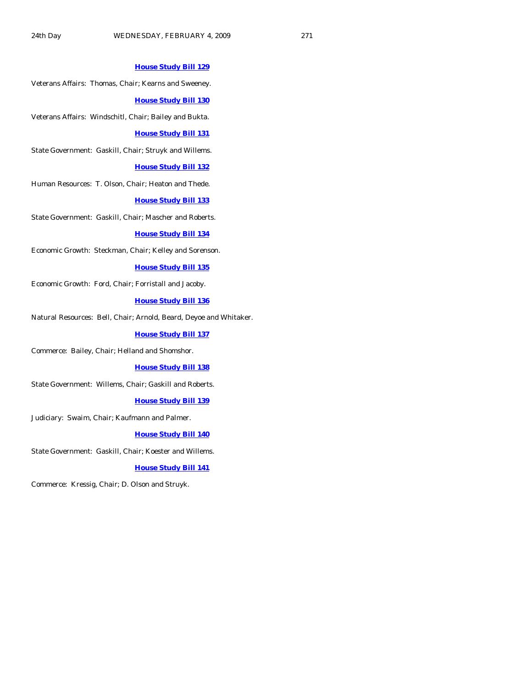#### **[House Study Bill 129](http://coolice.legis.state.ia.us/Cool-ICE/default.asp?Category=billinfo&Service=Billbook&frame=1&GA=83&hbill=HSB129)**

Veterans Affairs: Thomas, Chair; Kearns and Sweeney.

#### **[House Study Bill 130](http://coolice.legis.state.ia.us/Cool-ICE/default.asp?Category=billinfo&Service=Billbook&frame=1&GA=83&hbill=HSB130)**

Veterans Affairs: Windschitl, Chair; Bailey and Bukta.

#### **[House Study Bill 131](http://coolice.legis.state.ia.us/Cool-ICE/default.asp?Category=billinfo&Service=Billbook&frame=1&GA=83&hbill=HSB131)**

State Government: Gaskill, Chair; Struyk and Willems.

#### **[House Study Bill 132](http://coolice.legis.state.ia.us/Cool-ICE/default.asp?Category=billinfo&Service=Billbook&frame=1&GA=83&hbill=HSB132)**

Human Resources: T. Olson, Chair; Heaton and Thede.

#### **[House Study Bill 133](http://coolice.legis.state.ia.us/Cool-ICE/default.asp?Category=billinfo&Service=Billbook&frame=1&GA=83&hbill=HSB133)**

State Government: Gaskill, Chair; Mascher and Roberts.

#### **[House Study Bill 134](http://coolice.legis.state.ia.us/Cool-ICE/default.asp?Category=billinfo&Service=Billbook&frame=1&GA=83&hbill=HSB134)**

Economic Growth: Steckman, Chair; Kelley and Sorenson.

#### **[House Study Bill 135](http://coolice.legis.state.ia.us/Cool-ICE/default.asp?Category=billinfo&Service=Billbook&frame=1&GA=83&hbill=HSB135)**

Economic Growth: Ford, Chair; Forristall and Jacoby.

# **[House Study Bill 136](http://coolice.legis.state.ia.us/Cool-ICE/default.asp?Category=billinfo&Service=Billbook&frame=1&GA=83&hbill=HSB136)**

Natural Resources: Bell, Chair; Arnold, Beard, Deyoe and Whitaker.

#### **[House Study Bill 137](http://coolice.legis.state.ia.us/Cool-ICE/default.asp?Category=billinfo&Service=Billbook&frame=1&GA=83&hbill=HSB137)**

Commerce: Bailey, Chair; Helland and Shomshor.

#### **[House Study Bill 138](http://coolice.legis.state.ia.us/Cool-ICE/default.asp?Category=billinfo&Service=Billbook&frame=1&GA=83&hbill=HSB138)**

State Government: Willems, Chair; Gaskill and Roberts.

#### **[House Study Bill 139](http://coolice.legis.state.ia.us/Cool-ICE/default.asp?Category=billinfo&Service=Billbook&frame=1&GA=83&hbill=HSB139)**

Judiciary: Swaim, Chair; Kaufmann and Palmer.

#### **[House Study Bill 140](http://coolice.legis.state.ia.us/Cool-ICE/default.asp?Category=billinfo&Service=Billbook&frame=1&GA=83&hbill=HSB140)**

State Government: Gaskill, Chair; Koester and Willems.

#### **[House Study Bill 141](http://coolice.legis.state.ia.us/Cool-ICE/default.asp?Category=billinfo&Service=Billbook&frame=1&GA=83&hbill=HSB141)**

Commerce: Kressig, Chair; D. Olson and Struyk.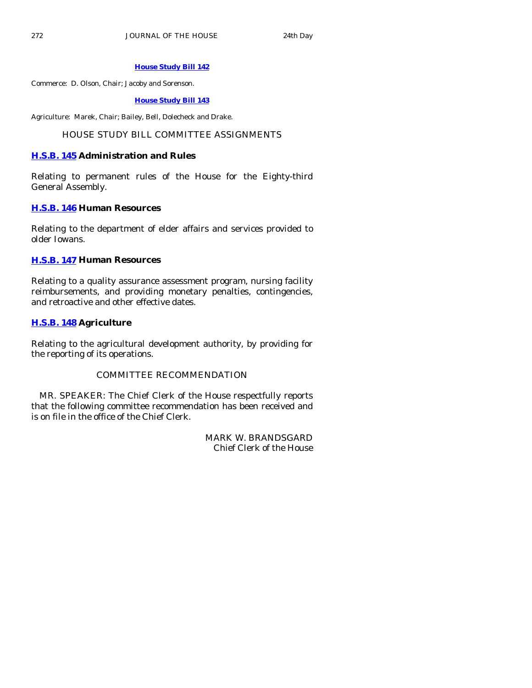# **[House Study Bill 142](http://coolice.legis.state.ia.us/Cool-ICE/default.asp?Category=billinfo&Service=Billbook&frame=1&GA=83&hbill=HSB142)**

Commerce: D. Olson, Chair; Jacoby and Sorenson.

#### **[House Study Bill 143](http://coolice.legis.state.ia.us/Cool-ICE/default.asp?Category=billinfo&Service=Billbook&frame=1&GA=83&hbill=HSB143)**

Agriculture: Marek, Chair; Bailey, Bell, Dolecheck and Drake.

# HOUSE STUDY BILL COMMITTEE ASSIGNMENTS

# **[H.S.B. 145](http://coolice.legis.state.ia.us/Cool-ICE/default.asp?Category=billinfo&Service=Billbook&frame=1&GA=83&hbill=HSB145) Administration and Rules**

Relating to permanent rules of the House for the Eighty-third General Assembly.

# **[H.S.B. 146](http://coolice.legis.state.ia.us/Cool-ICE/default.asp?Category=billinfo&Service=Billbook&frame=1&GA=83&hbill=HSB146) Human Resources**

Relating to the department of elder affairs and services provided to older Iowans.

# **[H.S.B. 147](http://coolice.legis.state.ia.us/Cool-ICE/default.asp?Category=billinfo&Service=Billbook&frame=1&GA=83&hbill=HSB147) Human Resources**

Relating to a quality assurance assessment program, nursing facility reimbursements, and providing monetary penalties, contingencies, and retroactive and other effective dates.

# **[H.S.B. 148](http://coolice.legis.state.ia.us/Cool-ICE/default.asp?Category=billinfo&Service=Billbook&frame=1&GA=83&hbill=HSB148) Agriculture**

Relating to the agricultural development authority, by providing for the reporting of its operations.

# COMMITTEE RECOMMENDATION

 MR. SPEAKER: The Chief Clerk of the House respectfully reports that the following committee recommendation has been received and is on file in the office of the Chief Clerk.

> MARK W. BRANDSGARD Chief Clerk of the House